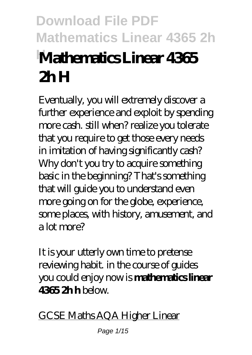# **Download File PDF Mathematics Linear 4365 2h HMathematics Linear 4365 2h H**

Eventually, you will extremely discover a further experience and exploit by spending more cash. still when? realize you tolerate that you require to get those every needs in imitation of having significantly cash? Why don't you try to acquire something basic in the beginning? That's something that will guide you to understand even more going on for the globe, experience, some places, with history, amusement, and a lot more?

It is your utterly own time to pretense reviewing habit. in the course of guides you could enjoy now is **mathematics linear 4365 2h h** below.

GCSE Maths AQA Higher Linear

Page 1/15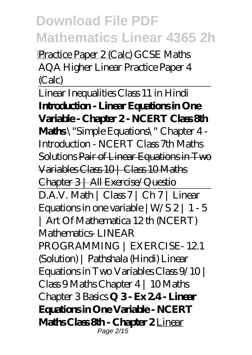**H**Practice Paper 2 (Calc) *GCSE Maths AQA Higher Linear Practice Paper 4 (Calc)*

Linear Inequalities Class 11 in Hindi **Introduction - Linear Equations in One Variable - Chapter 2 - NCERT Class 8th Maths** \"Simple Equations\" Chapter 4 - Introduction - NCERT Class 7th Maths Solutions Pair of Linear Equations in Two Variables Class 10 | Class 10 Maths Chapter 3 | All Exercise/Questio D.A.V. Math | Class 7 | Ch 7 | Linear Equations in one variable  $|W/S 2| 1 - 5$ | Art Of Mathematica 12 th (NCERT) Mathematics- LINEAR PROGRAMMING | EXERCISE- 12.1 (Solution) | Pathshala (Hindi) Linear Equations in Two Variables Class 9/10 | Class 9 Maths Chapter 4 | 10 Maths Chapter 3 Basics **Q 3 - Ex 2.4 - Linear Equations in One Variable - NCERT Maths Class 8th - Chapter 2** Linear Page 2/15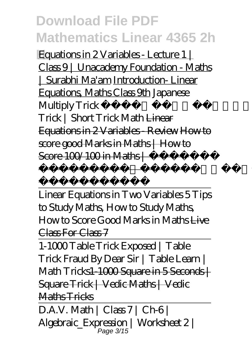**H**Equations in 2 Variables - Lecture 1 | Class 9 | Unacademy Foundation - Maths | Surabhi Ma'am Introduction- Linear Equations, Maths Class 9th *Japanese Multiply Trick । 10 Sec Multiplication Trick | Short Trick Math* Linear Equations in 2 Variables - Review How to score good Marks in Maths | How to  $Score 100/100$  in Maths  $\leftarrow$ 

Linear Equations in Two Variables 5 Tips to Study Maths, How to Study Maths, How to Score Good Marks in Maths Live Class For Class 7

में अच्छे मार्क्स

कैसे लाये

1-1000 Table Trick Exposed | Table Trick Fraud By Dear Sir | Table Learn | Math Tricks1-1000 Square in 5 Seconds | Square Trick | Vedic Maths | Vedic Maths Tricks

 $D.A.V. Math | Class 7 | Ch6 |$ Algebraic\_Expression | Worksheet 2 | Page 3/15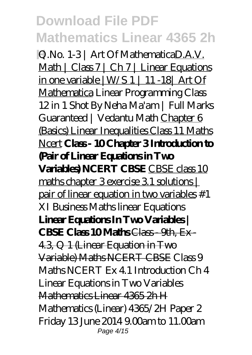**H**Q.No. 1-3 | Art Of MathematicaD.A.V. Math | Class 7 | Ch 7 | Linear Equations in one variable |W/S 1 | 11 -18| Art Of Mathematica *Linear Programming Class 12 in 1 Shot By Neha Ma'am | Full Marks Guaranteed | Vedantu Math* Chapter 6 (Basics) Linear Inequalities Class 11 Maths Ncert **Class - 10 Chapter 3 Introduction to (Pair of Linear Equations in Two Variables) NCERT CBSE** CBSE class 10 maths chapter 3 exercise 3.1 solutions | pair of linear equation in two variables *#1 XI Business Maths linear Equations* **Linear Equations In Two Variables | CBSE Class 10 Maths** Class - 9th, Ex - 4.3, Q 1 (Linear Equation in Two Variable) Maths NCERT CBSE Class 9 Maths NCERT Ex 4.1 Introduction Ch 4 Linear Equations in Two Variables Mathematics Linear 4365 2h H Mathematics (Linear) 4365/2H Paper 2 Friday 13 June 2014 9.00am to 11.00am Page 4/15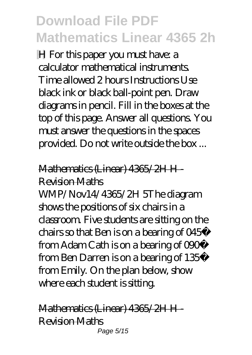**H** For this paper you must have: a calculator mathematical instruments. Time allowed 2 hours Instructions Use black ink or black ball-point pen. Draw diagrams in pencil. Fill in the boxes at the top of this page. Answer all questions. You must answer the questions in the spaces provided. Do not write outside the box ...

#### Mathematics (Linear) 4365/2H H - Revision Maths

WMP/Nov14/4365/2H 5The diagram shows the positions of six chairs in a classroom. Five students are sitting on the chairs so that Ben is on a bearing of 045º from Adam Cath is on a bearing of 090º from Ben Darren is on a bearing of 135º from Emily. On the plan below, show where each student is sitting.

Mathematics (Linear) 4365/2H H - Revision Maths Page 5/15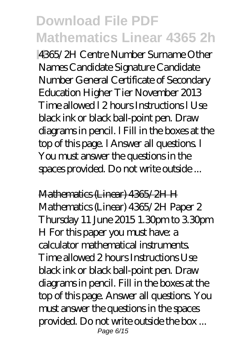**H**4365/2H Centre Number Surname Other Names Candidate Signature Candidate Number General Certificate of Secondary Education Higher Tier November 2013 Time allowed l 2 hours Instructions l Use black ink or black ball-point pen. Draw diagrams in pencil. l Fill in the boxes at the top of this page. l Answer all questions. l You must answer the questions in the spaces provided. Do not write outside ...

Mathematics (Linear) 4365/2H H Mathematics (Linear) 4365/2H Paper 2 Thursday 11 June 2015 1.30pm to 3.30pm H For this paper you must have: a calculator mathematical instruments. Time allowed 2 hours Instructions Use black ink or black ball-point pen. Draw diagrams in pencil. Fill in the boxes at the top of this page. Answer all questions. You must answer the questions in the spaces provided. Do not write outside the box ... Page 6/15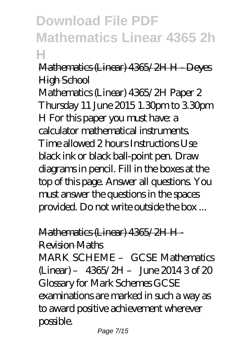#### Mathematics (Linear) 4365/2H H - Deyes **High School**

Mathematics (Linear) 4365/2H Paper 2 Thursday 11 June 2015 1.30pm to 3.30pm H For this paper you must have: a calculator mathematical instruments. Time allowed 2 hours Instructions Use black ink or black ball-point pen. Draw diagrams in pencil. Fill in the boxes at the top of this page. Answer all questions. You must answer the questions in the spaces provided. Do not write outside the box ...

### Mathematics (Linear) 4365/2H H -

Revision Maths

MARK SCHEME – GCSE Mathematics  $(Linear) - 4365/2H - June 20143 of 20$ Glossary for Mark Schemes GCSE examinations are marked in such a way as to award positive achievement wherever possible.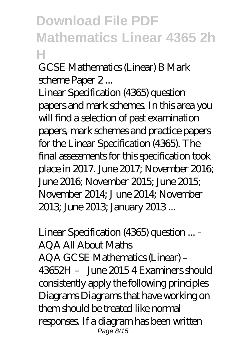#### GCSE Mathematics (Linear) B Mark scheme Paper 2...

Linear Specification (4365) question papers and mark schemes. In this area you will find a selection of past examination papers, mark schemes and practice papers for the Linear Specification (4365). The final assessments for this specification took place in 2017. June 2017; November 2016; June 2016; November 2015; June 2015; November 2014; J une 2014; November 2013; June 2013; January 2013 ...

Linear Specification (4365) question ... - AQA All About Maths AQA GCSE Mathematics (Linear) –  $43652H - Im20154$  Examiners should consistently apply the following principles Diagrams Diagrams that have working on them should be treated like normal responses. If a diagram has been written Page 8/15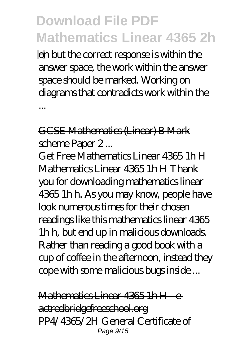**A** on but the correct response is within the answer space, the work within the answer space should be marked. Working on diagrams that contradicts work within the

GCSE Mathematics (Linear) B Mark scheme Paper 2...

...

Get Free Mathematics Linear 4365 1h H Mathematics Linear 4365 1h H Thank you for downloading mathematics linear 4365 1h h. As you may know, people have look numerous times for their chosen readings like this mathematics linear 4365 1h h, but end up in malicious downloads. Rather than reading a good book with a cup of coffee in the afternoon, instead they cope with some malicious bugs inside ...

Mathematics Linear 4365 1h H - eactredbridgefreeschool.org PP4/4365/2H General Certificate of Page 9/15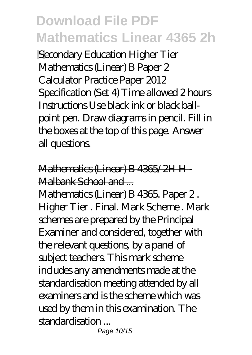**Secondary Education Higher Tier** Mathematics (Linear) B Paper 2 Calculator Practice Paper 2012 Specification (Set 4) Time allowed 2 hours Instructions Use black ink or black ballpoint pen. Draw diagrams in pencil. Fill in the boxes at the top of this page. Answer all questions.

Mathematics (Linear) B 4365/2H H - Malbank School and ...

Mathematics (Linear) B 4365. Paper 2 . Higher Tier . Final. Mark Scheme . Mark schemes are prepared by the Principal Examiner and considered, together with the relevant questions, by a panel of subject teachers. This mark scheme includes any amendments made at the standardisation meeting attended by all examiners and is the scheme which was used by them in this examination. The standardisation ...

Page 10/15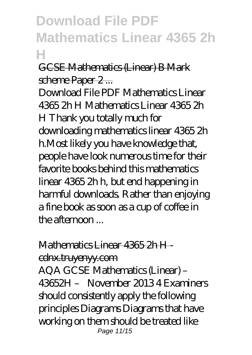#### GCSE Mathematics (Linear) B Mark scheme Paper 2...

Download File PDF Mathematics Linear 4365 2h H Mathematics Linear 4365 2h H Thank you totally much for downloading mathematics linear 4365 2h h.Most likely you have knowledge that, people have look numerous time for their favorite books behind this mathematics linear 4365 2h h, but end happening in harmful downloads. Rather than enjoying a fine book as soon as a cup of coffee in the afternoon  $\mathbb{R}$ 

#### Mathematics Linear 4365 2h H -

cdnx.truyenyy.com

AQA GCSE Mathematics (Linear) – 43652H – November 2013 4 Examiners should consistently apply the following principles Diagrams Diagrams that have working on them should be treated like Page 11/15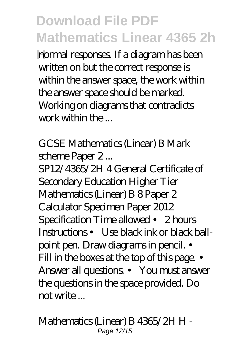**hormal responses.** If a diagram has been written on but the correct response is within the answer space, the work within the answer space should be marked. Working on diagrams that contradicts work within the ...

#### GCSE Mathematics (Linear) B Mark scheme Paper 2 ...

SP12/4365/2H 4 General Certificate of Secondary Education Higher Tier Mathematics (Linear) B 8 Paper 2 Calculator Specimen Paper 2012 Specification Time allowed • 2 hours Instructions • Use black ink or black ballpoint pen. Draw diagrams in pencil. • Fill in the boxes at the top of this page. • Answer all questions. • You must answer the questions in the space provided. Do not write ...

Mathematics (Linear) B 4365/2H H - Page 12/15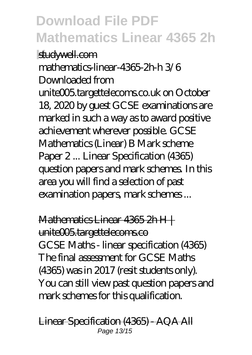**studywell.com** mathematics-linear-4365-2h-h 3/6 Downloaded from unite005.targettelecoms.co.uk on October 18, 2020 by guest GCSE examinations are marked in such a way as to award positive achievement wherever possible. GCSE Mathematics (Linear) B Mark scheme Paper 2 ... Linear Specification (4365) question papers and mark schemes. In this area you will find a selection of past examination papers, mark schemes ...

Mathematics Linear 4365 2h H | unite005.targettelecoms.co GCSE Maths - linear specification (4365) The final assessment for GCSE Maths (4365) was in 2017 (resit students only). You can still view past question papers and mark schemes for this qualification.

Linear Specification (4365) - AQA All Page 13/15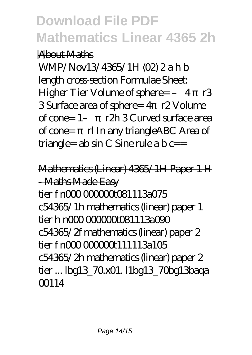#### **H**About Maths

WMP/Nov13/4365/1H (02) 2 a h b length cross-section Formulae Sheet: Higher Tier Volume of sphere= - 4  $\,$  r3 3 Surface area of sphere= 4 r2 Volume of cone=  $1 r2h$  3 Curved surface area of cone= rl In any triangleABC Area of triangle=  $ab \sin C$  Sine rule a  $b$  c==

Mathematics (Linear) 4365/1H Paper 1 H - Maths Made Easy tier f n0000000081113a075 c54365/1h mathematics (linear) paper 1  $t$ ier h n $000000000001113$ a $000$ c54365/2f mathematics (linear) paper 2 tier f n00000000111113a105 c54365/2h mathematics (linear) paper 2 tier ... lbg13\_70.x01. l1bg13\_70bg13baqa 00114